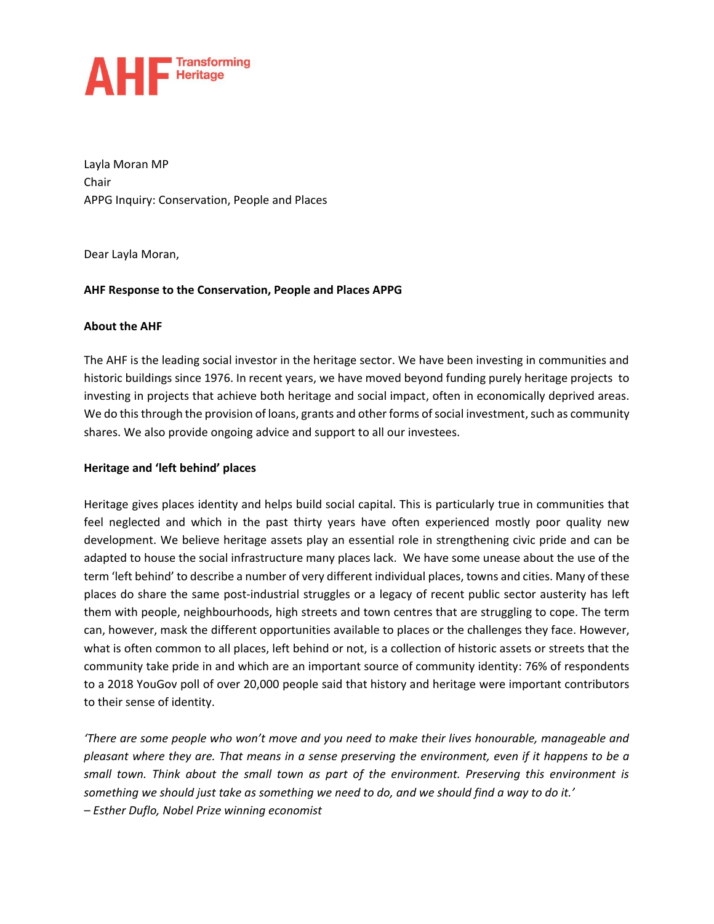

Layla Moran MP Chair APPG Inquiry: Conservation, People and Places

Dear Layla Moran,

#### **AHF Response to the Conservation, People and Places APPG**

#### **About the AHF**

The AHF is the leading social investor in the heritage sector. We have been investing in communities and historic buildings since 1976. In recent years, we have moved beyond funding purely heritage projects to investing in projects that achieve both heritage and social impact, often in economically deprived areas. We do this through the provision of loans, grants and other forms of social investment, such as community shares. We also provide ongoing advice and support to all our investees.

#### **Heritage and 'left behind' places**

Heritage gives places identity and helps build social capital. This is particularly true in communities that feel neglected and which in the past thirty years have often experienced mostly poor quality new development. We believe heritage assets play an essential role in strengthening civic pride and can be adapted to house the social infrastructure many places lack. We have some unease about the use of the term 'left behind' to describe a number of very different individual places, towns and cities. Many of these places do share the same post-industrial struggles or a legacy of recent public sector austerity has left them with people, neighbourhoods, high streets and town centres that are struggling to cope. The term can, however, mask the different opportunities available to places or the challenges they face. However, what is often common to all places, left behind or not, is a collection of historic assets or streets that the community take pride in and which are an important source of community identity: 76% of respondents to a 2018 YouGov poll of over 20,000 people said that history and heritage were important contributors to their sense of identity.

*'There are some people who won't move and you need to make their lives honourable, manageable and pleasant where they are. That means in a sense preserving the environment, even if it happens to be a small town. Think about the small town as part of the environment. Preserving this environment is something we should just take as something we need to do, and we should find a way to do it.' – Esther Duflo, Nobel Prize winning economist*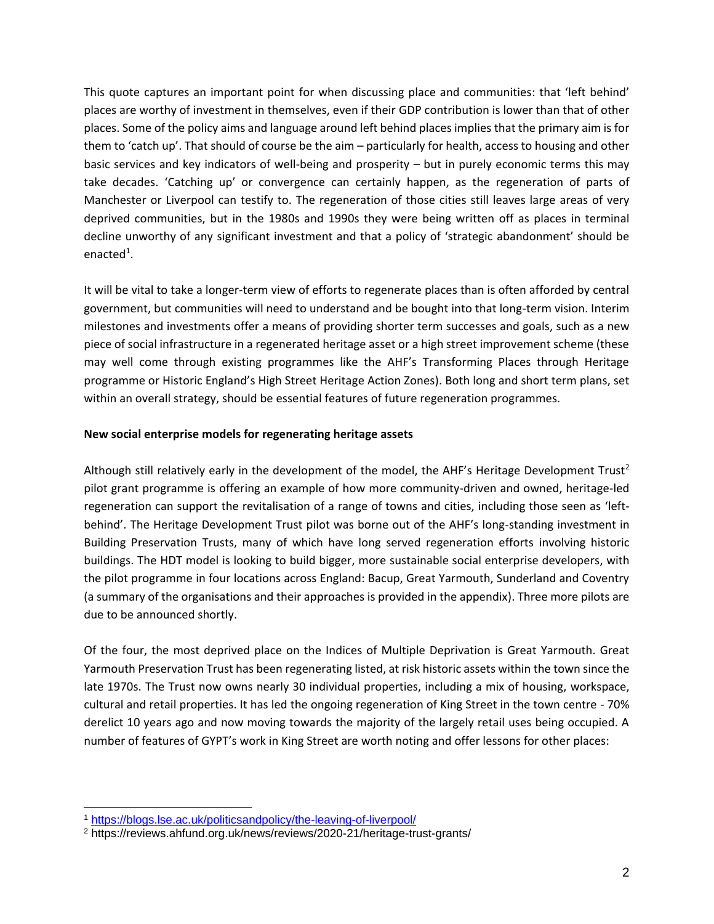This quote captures an important point for when discussing place and communities: that 'left behind' places are worthy of investment in themselves, even if their GDP contribution is lower than that of other places. Some of the policy aims and language around left behind places implies that the primary aim is for them to 'catch up'. That should of course be the aim – particularly for health, access to housing and other basic services and key indicators of well-being and prosperity – but in purely economic terms this may take decades. 'Catching up' or convergence can certainly happen, as the regeneration of parts of Manchester or Liverpool can testify to. The regeneration of those cities still leaves large areas of very deprived communities, but in the 1980s and 1990s they were being written off as places in terminal decline unworthy of any significant investment and that a policy of 'strategic abandonment' should be enacted<sup>1</sup>.

It will be vital to take a longer-term view of efforts to regenerate places than is often afforded by central government, but communities will need to understand and be bought into that long-term vision. Interim milestones and investments offer a means of providing shorter term successes and goals, such as a new piece of social infrastructure in a regenerated heritage asset or a high street improvement scheme (these may well come through existing programmes like the AHF's Transforming Places through Heritage programme or Historic England's High Street Heritage Action Zones). Both long and short term plans, set within an overall strategy, should be essential features of future regeneration programmes.

#### **New social enterprise models for regenerating heritage assets**

Although still relatively early in the development of the model, the AHF's Heritage Development Trust<sup>2</sup> pilot grant programme is offering an example of how more community-driven and owned, heritage-led regeneration can support the revitalisation of a range of towns and cities, including those seen as 'leftbehind'. The Heritage Development Trust pilot was borne out of the AHF's long-standing investment in Building Preservation Trusts, many of which have long served regeneration efforts involving historic buildings. The HDT model is looking to build bigger, more sustainable social enterprise developers, with the pilot programme in four locations across England: Bacup, Great Yarmouth, Sunderland and Coventry (a summary of the organisations and their approaches is provided in the appendix). Three more pilots are due to be announced shortly.

Of the four, the most deprived place on the Indices of Multiple Deprivation is Great Yarmouth. Great Yarmouth Preservation Trust has been regenerating listed, at risk historic assets within the town since the late 1970s. The Trust now owns nearly 30 individual properties, including a mix of housing, workspace, cultural and retail properties. It has led the ongoing regeneration of King Street in the town centre - 70% derelict 10 years ago and now moving towards the majority of the largely retail uses being occupied. A number of features of GYPT's work in King Street are worth noting and offer lessons for other places:

<sup>1</sup> <https://blogs.lse.ac.uk/politicsandpolicy/the-leaving-of-liverpool/>

<sup>&</sup>lt;sup>2</sup> https://reviews.ahfund.org.uk/news/reviews/2020-21/heritage-trust-grants/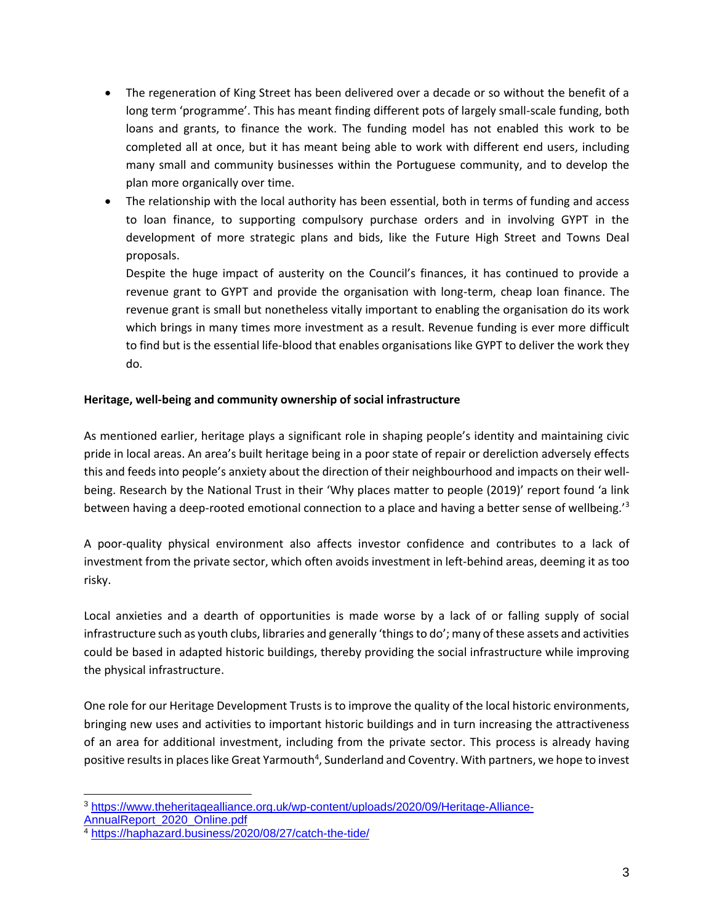- The regeneration of King Street has been delivered over a decade or so without the benefit of a long term 'programme'. This has meant finding different pots of largely small-scale funding, both loans and grants, to finance the work. The funding model has not enabled this work to be completed all at once, but it has meant being able to work with different end users, including many small and community businesses within the Portuguese community, and to develop the plan more organically over time.
- The relationship with the local authority has been essential, both in terms of funding and access to loan finance, to supporting compulsory purchase orders and in involving GYPT in the development of more strategic plans and bids, like the Future High Street and Towns Deal proposals.

Despite the huge impact of austerity on the Council's finances, it has continued to provide a revenue grant to GYPT and provide the organisation with long-term, cheap loan finance. The revenue grant is small but nonetheless vitally important to enabling the organisation do its work which brings in many times more investment as a result. Revenue funding is ever more difficult to find but is the essential life-blood that enables organisations like GYPT to deliver the work they do.

## **Heritage, well-being and community ownership of social infrastructure**

As mentioned earlier, heritage plays a significant role in shaping people's identity and maintaining civic pride in local areas. An area's built heritage being in a poor state of repair or dereliction adversely effects this and feeds into people's anxiety about the direction of their neighbourhood and impacts on their wellbeing. Research by the National Trust in their 'Why places matter to people (2019)' report found 'a link between having a deep-rooted emotional connection to a place and having a better sense of wellbeing.'<sup>3</sup>

A poor-quality physical environment also affects investor confidence and contributes to a lack of investment from the private sector, which often avoids investment in left-behind areas, deeming it as too risky.

Local anxieties and a dearth of opportunities is made worse by a lack of or falling supply of social infrastructure such as youth clubs, libraries and generally 'things to do'; many of these assets and activities could be based in adapted historic buildings, thereby providing the social infrastructure while improving the physical infrastructure.

One role for our Heritage Development Trusts is to improve the quality of the local historic environments, bringing new uses and activities to important historic buildings and in turn increasing the attractiveness of an area for additional investment, including from the private sector. This process is already having positive results in places like Great Yarmouth<sup>4</sup>, Sunderland and Coventry. With partners, we hope to invest

<sup>3</sup> [https://www.theheritagealliance.org.uk/wp-content/uploads/2020/09/Heritage-Alliance-](https://www.theheritagealliance.org.uk/wp-content/uploads/2020/09/Heritage-Alliance-AnnualReport_2020_Online.pdf)[AnnualReport\\_2020\\_Online.pdf](https://www.theheritagealliance.org.uk/wp-content/uploads/2020/09/Heritage-Alliance-AnnualReport_2020_Online.pdf)

<sup>4</sup> <https://haphazard.business/2020/08/27/catch-the-tide/>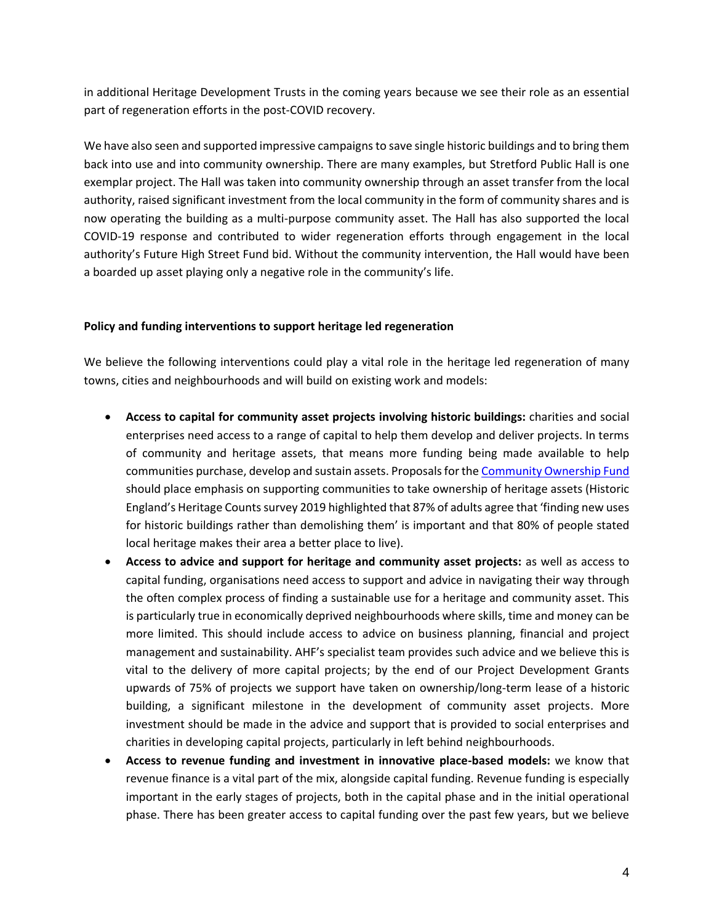in additional Heritage Development Trusts in the coming years because we see their role as an essential part of regeneration efforts in the post-COVID recovery.

We have also seen and supported impressive campaigns to save single historic buildings and to bring them back into use and into community ownership. There are many examples, but Stretford Public Hall is one exemplar project. The Hall was taken into community ownership through an asset transfer from the local authority, raised significant investment from the local community in the form of community shares and is now operating the building as a multi-purpose community asset. The Hall has also supported the local COVID-19 response and contributed to wider regeneration efforts through engagement in the local authority's Future High Street Fund bid. Without the community intervention, the Hall would have been a boarded up asset playing only a negative role in the community's life.

#### **Policy and funding interventions to support heritage led regeneration**

We believe the following interventions could play a vital role in the heritage led regeneration of many towns, cities and neighbourhoods and will build on existing work and models:

- **Access to capital for community asset projects involving historic buildings:** charities and social enterprises need access to a range of capital to help them develop and deliver projects. In terms of community and heritage assets, that means more funding being made available to help communities purchase, develop and sustain assets. Proposals for the [Community Ownership Fund](https://www.themj.co.uk/COVID-19---Community-ownership-should-play-a-key-role-in-local-recovery/217525) should place emphasis on supporting communities to take ownership of heritage assets (Historic England's Heritage Counts survey 2019 highlighted that 87% of adults agree that 'finding new uses for historic buildings rather than demolishing them' is important and that 80% of people stated local heritage makes their area a better place to live).
- **Access to advice and support for heritage and community asset projects:** as well as access to capital funding, organisations need access to support and advice in navigating their way through the often complex process of finding a sustainable use for a heritage and community asset. This is particularly true in economically deprived neighbourhoods where skills, time and money can be more limited. This should include access to advice on business planning, financial and project management and sustainability. AHF's specialist team provides such advice and we believe this is vital to the delivery of more capital projects; by the end of our Project Development Grants upwards of 75% of projects we support have taken on ownership/long-term lease of a historic building, a significant milestone in the development of community asset projects. More investment should be made in the advice and support that is provided to social enterprises and charities in developing capital projects, particularly in left behind neighbourhoods.
- **Access to revenue funding and investment in innovative place-based models:** we know that revenue finance is a vital part of the mix, alongside capital funding. Revenue funding is especially important in the early stages of projects, both in the capital phase and in the initial operational phase. There has been greater access to capital funding over the past few years, but we believe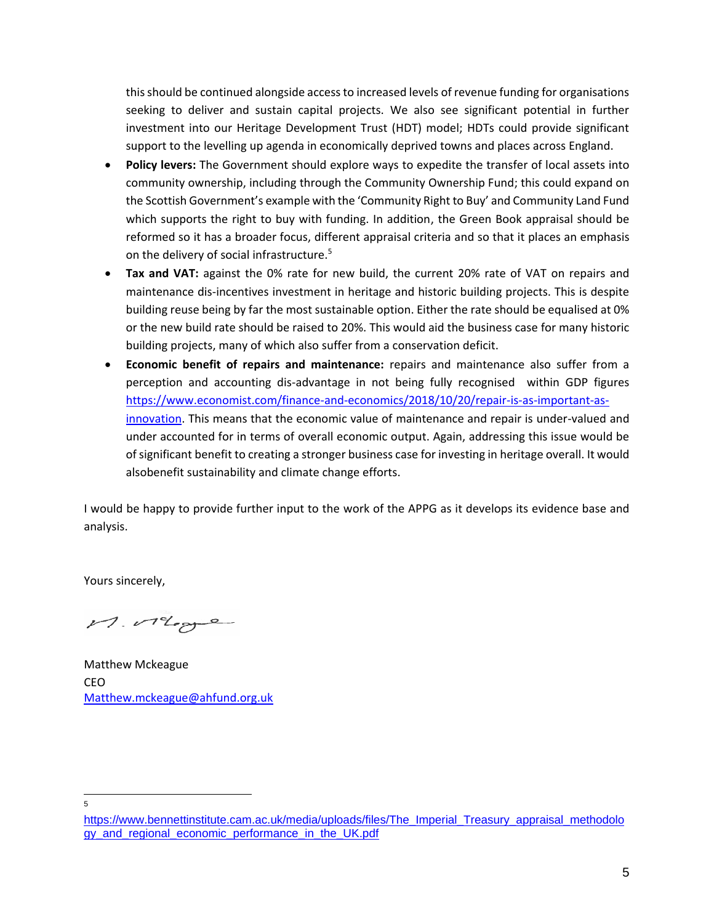this should be continued alongside access to increased levels of revenue funding for organisations seeking to deliver and sustain capital projects. We also see significant potential in further investment into our Heritage Development Trust (HDT) model; HDTs could provide significant support to the levelling up agenda in economically deprived towns and places across England.

- **Policy levers:** The Government should explore ways to expedite the transfer of local assets into community ownership, including through the Community Ownership Fund; this could expand on the Scottish Government's example with the 'Community Right to Buy' and Community Land Fund which supports the right to buy with funding. In addition, the Green Book appraisal should be reformed so it has a broader focus, different appraisal criteria and so that it places an emphasis on the delivery of social infrastructure.<sup>5</sup>
- **Tax and VAT:** against the 0% rate for new build, the current 20% rate of VAT on repairs and maintenance dis-incentives investment in heritage and historic building projects. This is despite building reuse being by far the most sustainable option. Either the rate should be equalised at 0% or the new build rate should be raised to 20%. This would aid the business case for many historic building projects, many of which also suffer from a conservation deficit.
- **Economic benefit of repairs and maintenance:** repairs and maintenance also suffer from a perception and accounting dis-advantage in not being fully recognised within GDP figures [https://www.economist.com/finance-and-economics/2018/10/20/repair-is-as-important-as](https://www.economist.com/finance-and-economics/2018/10/20/repair-is-as-important-as-innovation)[innovation.](https://www.economist.com/finance-and-economics/2018/10/20/repair-is-as-important-as-innovation) This means that the economic value of maintenance and repair is under-valued and under accounted for in terms of overall economic output. Again, addressing this issue would be of significant benefit to creating a stronger business case for investing in heritage overall. It would alsobenefit sustainability and climate change efforts.

I would be happy to provide further input to the work of the APPG as it develops its evidence base and analysis.

Yours sincerely,

M. Megge

Matthew Mckeague CEO [Matthew.mckeague@ahfund.org.uk](mailto:Matthew.mckeague@ahfund.org.uk)

5

[https://www.bennettinstitute.cam.ac.uk/media/uploads/files/The\\_Imperial\\_Treasury\\_appraisal\\_methodolo](https://www.bennettinstitute.cam.ac.uk/media/uploads/files/The_Imperial_Treasury_appraisal_methodology_and_regional_economic_performance_in_the_UK.pdf) [gy\\_and\\_regional\\_economic\\_performance\\_in\\_the\\_UK.pdf](https://www.bennettinstitute.cam.ac.uk/media/uploads/files/The_Imperial_Treasury_appraisal_methodology_and_regional_economic_performance_in_the_UK.pdf)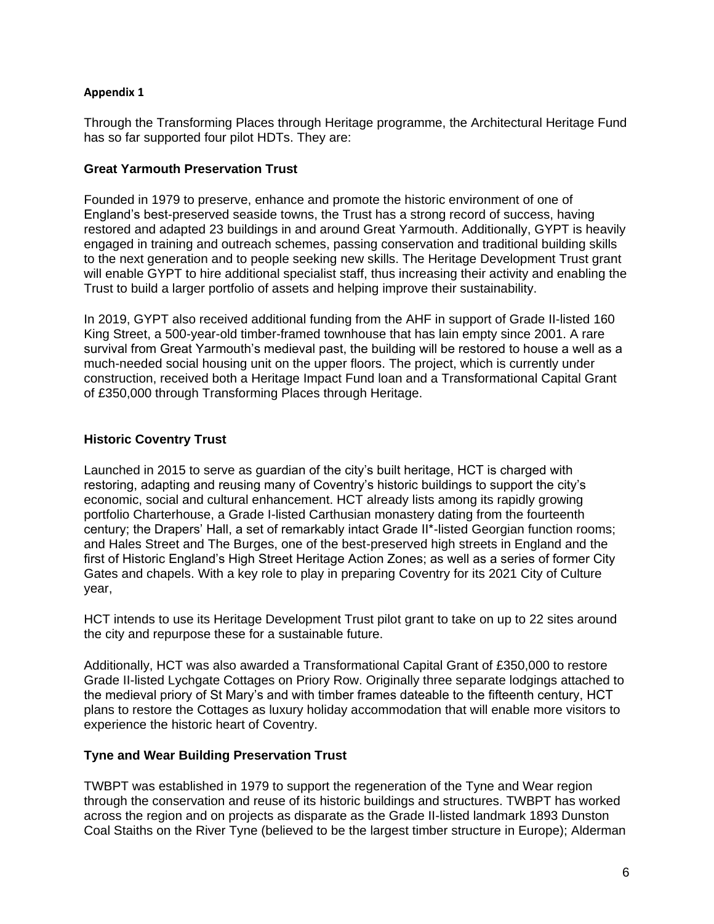#### **Appendix 1**

Through the Transforming Places through Heritage programme, the Architectural Heritage Fund has so far supported four pilot HDTs. They are:

#### **Great Yarmouth Preservation Trust**

Founded in 1979 to preserve, enhance and promote the historic environment of one of England's best-preserved seaside towns, the Trust has a strong record of success, having restored and adapted 23 buildings in and around Great Yarmouth. Additionally, GYPT is heavily engaged in training and outreach schemes, passing conservation and traditional building skills to the next generation and to people seeking new skills. The Heritage Development Trust grant will enable GYPT to hire additional specialist staff, thus increasing their activity and enabling the Trust to build a larger portfolio of assets and helping improve their sustainability.

In 2019, GYPT also received additional funding from the AHF in support of Grade II-listed 160 King Street, a 500-year-old timber-framed townhouse that has lain empty since 2001. A rare survival from Great Yarmouth's medieval past, the building will be restored to house a well as a much-needed social housing unit on the upper floors. The project, which is currently under construction, received both a Heritage Impact Fund loan and a Transformational Capital Grant of £350,000 through Transforming Places through Heritage.

## **Historic Coventry Trust**

Launched in 2015 to serve as guardian of the city's built heritage, HCT is charged with restoring, adapting and reusing many of Coventry's historic buildings to support the city's economic, social and cultural enhancement. HCT already lists among its rapidly growing portfolio Charterhouse, a Grade I-listed Carthusian monastery dating from the fourteenth century; the Drapers' Hall, a set of remarkably intact Grade II\*-listed Georgian function rooms; and Hales Street and The Burges, one of the best-preserved high streets in England and the first of Historic England's High Street Heritage Action Zones; as well as a series of former City Gates and chapels. With a key role to play in preparing Coventry for its 2021 City of Culture year,

HCT intends to use its Heritage Development Trust pilot grant to take on up to 22 sites around the city and repurpose these for a sustainable future.

Additionally, HCT was also awarded a Transformational Capital Grant of £350,000 to restore Grade II-listed Lychgate Cottages on Priory Row. Originally three separate lodgings attached to the medieval priory of St Mary's and with timber frames dateable to the fifteenth century, HCT plans to restore the Cottages as luxury holiday accommodation that will enable more visitors to experience the historic heart of Coventry.

## **Tyne and Wear Building Preservation Trust**

TWBPT was established in 1979 to support the regeneration of the Tyne and Wear region through the conservation and reuse of its historic buildings and structures. TWBPT has worked across the region and on projects as disparate as the Grade II-listed landmark 1893 Dunston Coal Staiths on the River Tyne (believed to be the largest timber structure in Europe); Alderman